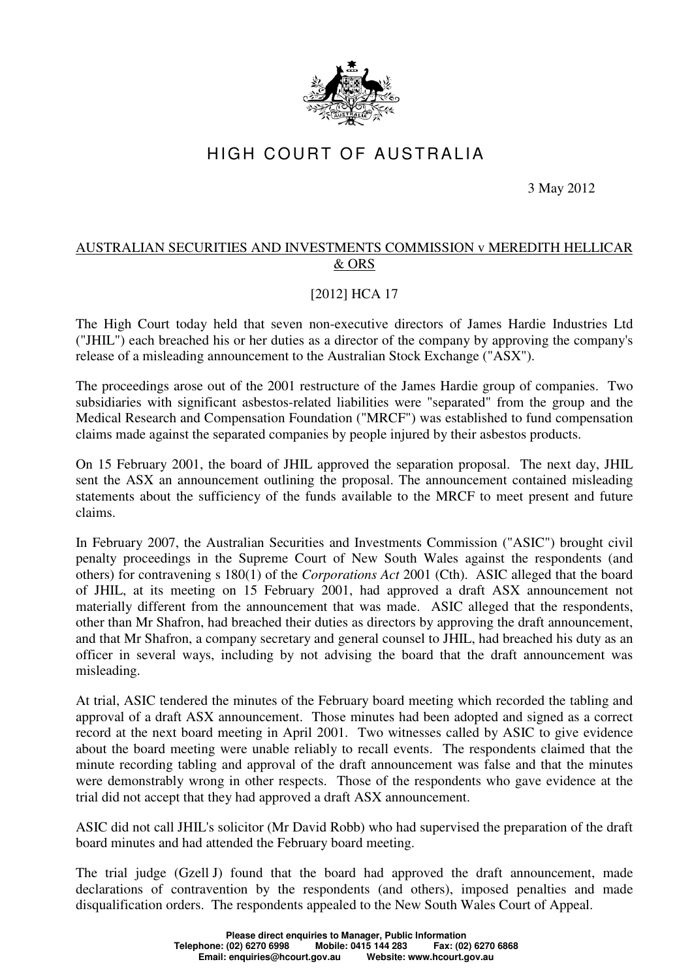

## HIGH COURT OF AUSTRALIA

3 May 2012

## AUSTRALIAN SECURITIES AND INVESTMENTS COMMISSION v MEREDITH HELLICAR & ORS

## [2012] HCA 17

The High Court today held that seven non-executive directors of James Hardie Industries Ltd ("JHIL") each breached his or her duties as a director of the company by approving the company's release of a misleading announcement to the Australian Stock Exchange ("ASX").

The proceedings arose out of the 2001 restructure of the James Hardie group of companies. Two subsidiaries with significant asbestos-related liabilities were "separated" from the group and the Medical Research and Compensation Foundation ("MRCF") was established to fund compensation claims made against the separated companies by people injured by their asbestos products.

On 15 February 2001, the board of JHIL approved the separation proposal. The next day, JHIL sent the ASX an announcement outlining the proposal. The announcement contained misleading statements about the sufficiency of the funds available to the MRCF to meet present and future claims.

In February 2007, the Australian Securities and Investments Commission ("ASIC") brought civil penalty proceedings in the Supreme Court of New South Wales against the respondents (and others) for contravening s 180(1) of the *Corporations Act* 2001 (Cth). ASIC alleged that the board of JHIL, at its meeting on 15 February 2001, had approved a draft ASX announcement not materially different from the announcement that was made. ASIC alleged that the respondents, other than Mr Shafron, had breached their duties as directors by approving the draft announcement, and that Mr Shafron, a company secretary and general counsel to JHIL, had breached his duty as an officer in several ways, including by not advising the board that the draft announcement was misleading.

At trial, ASIC tendered the minutes of the February board meeting which recorded the tabling and approval of a draft ASX announcement. Those minutes had been adopted and signed as a correct record at the next board meeting in April 2001. Two witnesses called by ASIC to give evidence about the board meeting were unable reliably to recall events. The respondents claimed that the minute recording tabling and approval of the draft announcement was false and that the minutes were demonstrably wrong in other respects. Those of the respondents who gave evidence at the trial did not accept that they had approved a draft ASX announcement.

ASIC did not call JHIL's solicitor (Mr David Robb) who had supervised the preparation of the draft board minutes and had attended the February board meeting.

The trial judge (Gzell J) found that the board had approved the draft announcement, made declarations of contravention by the respondents (and others), imposed penalties and made disqualification orders. The respondents appealed to the New South Wales Court of Appeal.